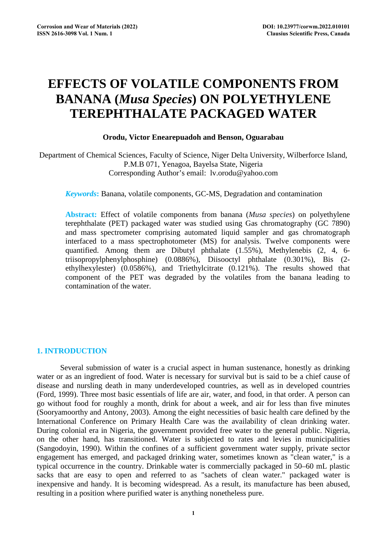# **EFFECTS OF VOLATILE COMPONENTS FROM BANANA (***Musa Species***) ON POLYETHYLENE TEREPHTHALATE PACKAGED WATER**

## **Orodu, Victor Enearepuadoh and Benson, Oguarabau**

Department of Chemical Sciences, Faculty of Science, Niger Delta University, Wilberforce Island, P.M.B 071, Yenagoa, Bayelsa State, Nigeria Corresponding Author's email: lv.orodu@yahoo.com

*Keywords***:** Banana, volatile components, GC-MS, Degradation and contamination

**Abstract:** Effect of volatile components from banana (*Musa species*) on polyethylene terephthalate (PET) packaged water was studied using Gas chromatography (GC 7890) and mass spectrometer comprising automated liquid sampler and gas chromatograph interfaced to a mass spectrophotometer (MS) for analysis. Twelve components were quantified. Among them are Dibutyl phthalate (1.55%), Methylenebis (2, 4, 6 triisopropylphenylphosphine) (0.0886%), Diisooctyl phthalate (0.301%), Bis (2 ethylhexylester) (0.0586%), and Triethylcitrate (0.121%). The results showed that component of the PET was degraded by the volatiles from the banana leading to contamination of the water.

## **1. INTRODUCTION**

Several submission of water is a crucial aspect in human sustenance, honestly as drinking water or as an ingredient of food. Water is necessary for survival but is said to be a chief cause of disease and nursling death in many underdeveloped countries, as well as in developed countries (Ford, 1999). Three most basic essentials of life are air, water, and food, in that order. A person can go without food for roughly a month, drink for about a week, and air for less than five minutes (Sooryamoorthy and Antony, 2003). Among the eight necessities of basic health care defined by the International Conference on Primary Health Care was the availability of clean drinking water. During colonial era in Nigeria, the government provided free water to the general public. Nigeria, on the other hand, has transitioned. Water is subjected to rates and levies in municipalities (Sangodoyin, 1990). Within the confines of a sufficient government water supply, private sector engagement has emerged, and packaged drinking water, sometimes known as "clean water," is a typical occurrence in the country. Drinkable water is commercially packaged in 50–60 mL plastic sacks that are easy to open and referred to as "sachets of clean water." packaged water is inexpensive and handy. It is becoming widespread. As a result, its manufacture has been abused, resulting in a position where purified water is anything nonetheless pure.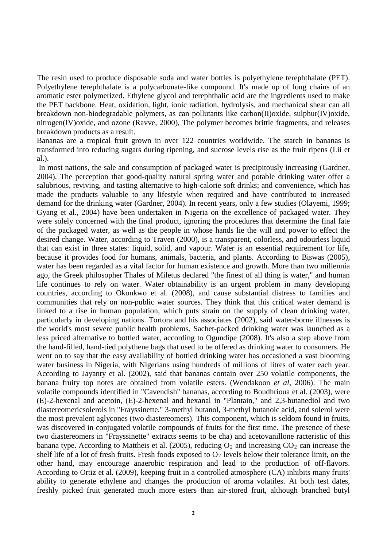The resin used to produce disposable soda and water bottles is polyethylene terephthalate (PET). Polyethylene terephthalate is a polycarbonate-like compound. It's made up of long chains of an aromatic ester polymerized. Ethylene glycol and terephthalic acid are the ingredients used to make the PET backbone. Heat, oxidation, light, ionic radiation, hydrolysis, and mechanical shear can all breakdown non-biodegradable polymers, as can pollutants like carbon(II)oxide, sulphur(IV)oxide, nitrogen(IV)oxide, and ozone (Ravve, 2000), The polymer becomes brittle fragments, and releases breakdown products as a result.

Bananas are a tropical fruit grown in over 122 countries worldwide. The starch in bananas is transformed into reducing sugars during ripening, and sucrose levels rise as the fruit ripens (Lii et al.).

In most nations, the sale and consumption of packaged water is precipitously increasing (Gardner, 2004). The perception that good-quality natural spring water and potable drinking water offer a salubrious, reviving, and tasting alternative to high-calorie soft drinks; and convenience, which has made the products valuable to any lifestyle when required and have contributed to increased demand for the drinking water (Gardner, 2004). In recent years, only a few studies (Olayemi, 1999; Gyang et al., 2004) have been undertaken in Nigeria on the excellence of packaged water. They were solely concerned with the final product, ignoring the procedures that determine the final fate of the packaged water, as well as the people in whose hands lie the will and power to effect the desired change. Water, according to Traven (2000), is a transparent, colorless, and odourless liquid that can exist in three states: liquid, solid, and vapour. Water is an essential requirement for life, because it provides food for humans, animals, bacteria, and plants. According to Biswas (2005), water has been regarded as a vital factor for human existence and growth. More than two millennia ago, the Greek philosopher Thales of Miletus declared "the finest of all thing is water," and human life continues to rely on water. Water obtainability is an urgent problem in many developing countries, according to Okonkwo et al. (2008), and cause substantial distress to families and communities that rely on non-public water sources. They think that this critical water demand is linked to a rise in human population, which puts strain on the supply of clean drinking water, particularly in developing nations. Tortora and his associates (2002), said water-borne illnesses is the world's most severe public health problems. Sachet-packed drinking water was launched as a less priced alternative to bottled water, according to Ogundipe (2008). It's also a step above from the hand-filled, hand-tied polythene bags that used to be offered as drinking water to consumers. He went on to say that the easy availability of bottled drinking water has occasioned a vast blooming water business in Nigeria, with Nigerians using hundreds of millions of litres of water each year. According to Jayanty et al. (2002), said that bananas contain over 250 volatile components, the banana fruity top notes are obtained from volatile esters. (Wendakoon *et al*, 2006). The main volatile compounds identified in "Cavendish" bananas, according to Boudhrioua et al. (2003), were (E)-2-hexenal and acetoin, (E)-2-hexenal and hexanal in "Plantain," and 2,3-butanediol and two diastereomericsolerols in "Frayssinette." 3-methyl butanol, 3-methyl butanoic acid, and solerol were the most prevalent aglycones (two diastereomers). This component, which is seldom found in fruits, was discovered in conjugated volatile compounds of fruits for the first time. The presence of these two diastereomers in "Frayssinette" extracts seems to be cha) and acetovanillone racteristic of this banana type. According to Mattheis et al. (2005), reducing  $O_2$  and increasing  $CO_2$  can increase the shelf life of a lot of fresh fruits. Fresh foods exposed to  $O_2$  levels below their tolerance limit, on the other hand, may encourage anaerobic respiration and lead to the production of off-flavors. According to Ortiz et al. (2009), keeping fruit in a controlled atmosphere (CA) inhibits many fruits' ability to generate ethylene and changes the production of aroma volatiles. At both test dates, freshly picked fruit generated much more esters than air-stored fruit, although branched butyl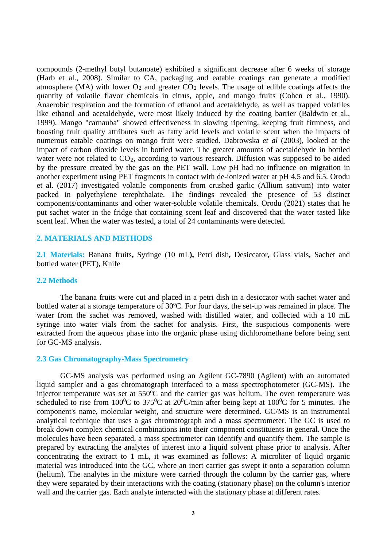compounds (2-methyl butyl butanoate) exhibited a significant decrease after 6 weeks of storage (Harb et al., 2008). Similar to CA, packaging and eatable coatings can generate a modified atmosphere (MA) with lower  $O_2$  and greater  $CO_2$  levels. The usage of edible coatings affects the quantity of volatile flavor chemicals in citrus, apple, and mango fruits (Cohen et al., 1990). Anaerobic respiration and the formation of ethanol and acetaldehyde, as well as trapped volatiles like ethanol and acetaldehyde, were most likely induced by the coating barrier (Baldwin et al., 1999). Mango "carnauba" showed effectiveness in slowing ripening, keeping fruit firmness, and boosting fruit quality attributes such as fatty acid levels and volatile scent when the impacts of numerous eatable coatings on mango fruit were studied. Dabrowska *et al* (2003), looked at the impact of carbon dioxide levels in bottled water. The greater amounts of acetaldehyde in bottled water were not related to  $CO<sub>2</sub>$ , according to various research. Diffusion was supposed to be aided by the pressure created by the gas on the PET wall. Low pH had no influence on migration in another experiment using PET fragments in contact with de-ionized water at pH 4.5 and 6.5. Orodu et al. (2017) investigated volatile components from crushed garlic (Allium sativum) into water packed in polyethylene terephthalate. The findings revealed the presence of 53 distinct components/contaminants and other water-soluble volatile chemicals. Orodu (2021) states that he put sachet water in the fridge that containing scent leaf and discovered that the water tasted like scent leaf. When the water was tested, a total of 24 contaminants were detected.

## **2. MATERIALS AND METHODS**

**2.1 Materials:** Banana fruits**,** Syringe (10 mL**),** Petri dish**,** Desiccator**,** Glass vials**,** Sachet and bottled water (PET)**,** Knife

#### **2.2 Methods**

The banana fruits were cut and placed in a petri dish in a desiccator with sachet water and bottled water at a storage temperature of 30°C. For four days, the set-up was remained in place. The water from the sachet was removed, washed with distilled water, and collected with a 10 mL syringe into water vials from the sachet for analysis. First, the suspicious components were extracted from the aqueous phase into the organic phase using dichloromethane before being sent for GC-MS analysis.

## **2.3 Gas Chromatography-Mass Spectrometry**

GC-MS analysis was performed using an Agilent GC-7890 (Agilent) with an automated liquid sampler and a gas chromatograph interfaced to a mass spectrophotometer (GC-MS). The injector temperature was set at 550°C and the carrier gas was helium. The oven temperature was scheduled to rise from 100<sup>0</sup>C to 375<sup>0</sup>C at 20<sup>0</sup>C/min after being kept at 100<sup>0</sup>C for 5 minutes. The component's name, molecular weight, and structure were determined. GC/MS is an instrumental analytical technique that uses a gas chromatograph and a mass spectrometer. The GC is used to break down complex chemical combinations into their component constituents in general. Once the molecules have been separated, a mass spectrometer can identify and quantify them. The sample is prepared by extracting the analytes of interest into a liquid solvent phase prior to analysis. After concentrating the extract to 1 mL, it was examined as follows: A microliter of liquid organic material was introduced into the GC, where an inert carrier gas swept it onto a separation column (helium). The analytes in the mixture were carried through the column by the carrier gas, where they were separated by their interactions with the coating (stationary phase) on the column's interior wall and the carrier gas. Each analyte interacted with the stationary phase at different rates.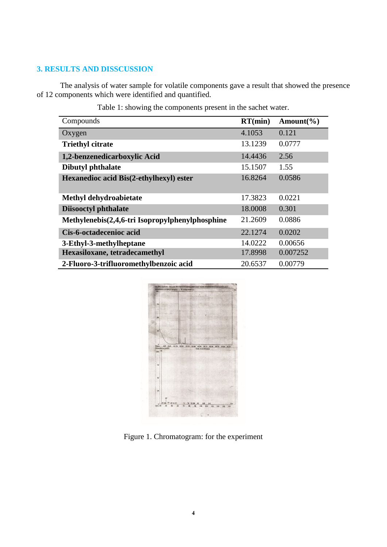# **3. RESULTS AND DISSCUSSION**

The analysis of water sample for volatile components gave a result that showed the presence of 12 components which were identified and quantified.

| Compounds                                       | RT(min) | Amount $(\% )$ |
|-------------------------------------------------|---------|----------------|
| Oxygen                                          | 4.1053  | 0.121          |
| <b>Triethyl citrate</b>                         | 13.1239 | 0.0777         |
| 1,2-benzenedicarboxylic Acid                    | 14.4436 | 2.56           |
| <b>Dibutyl phthalate</b>                        | 15.1507 | 1.55           |
| <b>Hexanedioc acid Bis(2-ethylhexyl) ester</b>  | 16.8264 | 0.0586         |
| Methyl dehydroabietate                          | 17.3823 | 0.0221         |
| <b>Diisooctyl phthalate</b>                     | 18.0008 | 0.301          |
| Methylenebis(2,4,6-tri Isopropylphenylphosphine | 21.2609 | 0.0886         |
| Cis-6-octadecenioc acid                         | 22.1274 | 0.0202         |
| 3-Ethyl-3-methylheptane                         | 14.0222 | 0.00656        |
| Hexasiloxane, tetradecamethyl                   | 17.8998 | 0.007252       |
| 2-Fluoro-3-trifluoromethylbenzoic acid          | 20.6537 | 0.00779        |

Table 1: showing the components present in the sachet water.



Figure 1. Chromatogram: for the experiment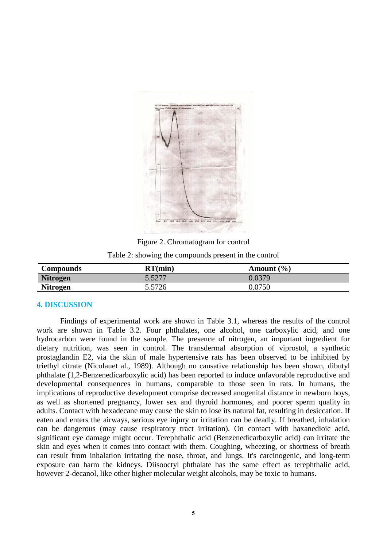

Figure 2. Chromatogram for control

Table 2: showing the compounds present in the control

| Compounds       | RT(min) | Amount $(\% )$ |
|-----------------|---------|----------------|
| <b>Nitrogen</b> | 5.5277  | 0.0379         |
| <b>Nitrogen</b> | 5.5726  | 0.0750         |

#### **4. DISCUSSION**

Findings of experimental work are shown in Table 3.1, whereas the results of the control work are shown in Table 3.2. Four phthalates, one alcohol, one carboxylic acid, and one hydrocarbon were found in the sample. The presence of nitrogen, an important ingredient for dietary nutrition, was seen in control. The transdermal absorption of viprostol, a synthetic prostaglandin E2, via the skin of male hypertensive rats has been observed to be inhibited by triethyl citrate (Nicolauet al., 1989). Although no causative relationship has been shown, dibutyl phthalate (1,2-Benzenedicarboxylic acid) has been reported to induce unfavorable reproductive and developmental consequences in humans, comparable to those seen in rats. In humans, the implications of reproductive development comprise decreased anogenital distance in newborn boys, as well as shortened pregnancy, lower sex and thyroid hormones, and poorer sperm quality in adults. Contact with hexadecane may cause the skin to lose its natural fat, resulting in desiccation. If eaten and enters the airways, serious eye injury or irritation can be deadly. If breathed, inhalation can be dangerous (may cause respiratory tract irritation). On contact with haxanedioic acid, significant eye damage might occur. Terephthalic acid (Benzenedicarboxylic acid) can irritate the skin and eyes when it comes into contact with them. Coughing, wheezing, or shortness of breath can result from inhalation irritating the nose, throat, and lungs. It's carcinogenic, and long-term exposure can harm the kidneys. Diisooctyl phthalate has the same effect as terephthalic acid, however 2-decanol, like other higher molecular weight alcohols, may be toxic to humans.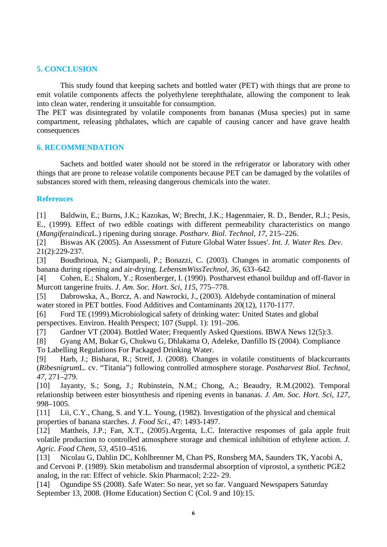## **5. CONCLUSION**

This study found that keeping sachets and bottled water (PET) with things that are prone to emit volatile components affects the polyethylene terephthalate, allowing the component to leak into clean water, rendering it unsuitable for consumption.

The PET was disintegrated by volatile components from bananas (Musa species) put in same compartment, releasing phthalates, which are capable of causing cancer and have grave health consequences

## **6. RECOMMENDATION**

Sachets and bottled water should not be stored in the refrigerator or laboratory with other things that are prone to release volatile components because PET can be damaged by the volatiles of substances stored with them, releasing dangerous chemicals into the water.

## **References**

[1] Baldwin, E.; Burns, J.K.; Kazokas, W; Brecht, J.K.; Hagenmaier, R. D., Bender, R.J.; Pesis, E., (1999). Effect of two edible coatings with different permeability characteristics on mango (*Mangiferaindica*L.) ripening during storage. *Postharv. Biol. Technol*, *17*, 215–226.

[2] Biswas AK (2005). An Assessment of Future Global Water Issues'. *Int. J. Water Res. Dev*. 21(2):229-237.

[3] Boudhrioua, N.; Giampaoli, P.; Bonazzi, C. (2003). Changes in aromatic components of banana during ripening and air-drying. *LebensmWissTechnol*, *36*, 633–642.

[4] Cohen, E.; Shalom, Y.; Rosenberger, I. (1990). Postharvest ethanol buildup and off-flavor in Murcott tangerine fruits. *J. Am. Soc. Hort. Sci*, *115*, 775–778.

[5] Dabrowska, A., Borcz, A. and Nawrocki, J., (2003). Aldehyde contamination of mineral water stored in PET bottles. Food Additives and Contaminants 20(12), 1170-1177.

[6] Ford TE (1999).Microbiological safety of drinking water: United States and global perspectives. Environ. Health Perspect; 107 (Suppl. 1): 191–206.

[7] Gardner VT (2004). Bottled Water; Frequently Asked Questions. IBWA News 12(5):3.

[8] Gyang AM, Bukar G, Chukwu G, Dhlakama O, Adeleke, Danfillo IS (2004). Compliance To Labelling Regulations For Packaged Drinking Water.

[9] Harb, J.; Bisharat, R.; Streif, J. (2008). Changes in volatile constituents of blackcurrants (*Ribesnigrum*L. cv. "Titania") following controlled atmosphere storage. *Postharvest Biol. Technol*, *47*, 271–279.

[10] Jayanty, S.; Song, J.; Rubinstein, N.M.; Chong, A.; Beaudry, R.M.(2002). Temporal relationship between ester biosynthesis and ripening events in bananas. *J. Am. Soc. Hort. Sci*, *127*, 998–1005.

[11] Lii, C.Y., Chang, S. and Y.L. Young, (1982). Investigation of the physical and chemical properties of banana starches. *J. Food Sci.*, 47: 1493-1497.

[12] Mattheis, J.P.; Fan, X.T., (2005).Argenta, L.C. Interactive responses of gala apple fruit volatile production to controlled atmosphere storage and chemical inhibition of ethylene action. *J. Agric. Food Chem*, *53*, 4510–4516.

[13] Nicolau G, Dahlin DC, Kohlbrenner M, Chan PS, Ronsberg MA, Saunders TK, Yacobi A, and Cervoni P. (1989). Skin metabolism and transdermal absorption of viprostol, a synthetic PGE2 analog, in the rat: Effect of vehicle. Skin Pharmacol; 2:22- 29.

[14] Ogundipe SS (2008). Safe Water: So near, yet so far. Vanguard Newspapers Saturday September 13, 2008. (Home Education) Section C (Col. 9 and 10):15.